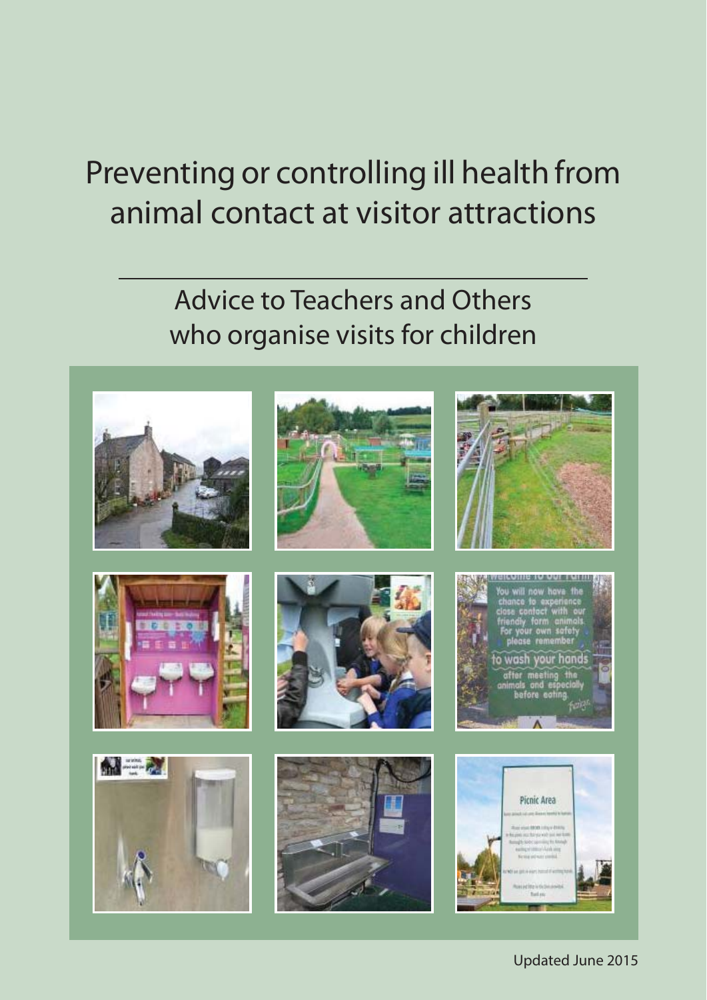# Preventing or controlling ill health from animal contact at visitor attractions

# Advice to Teachers and Others who organise visits for children

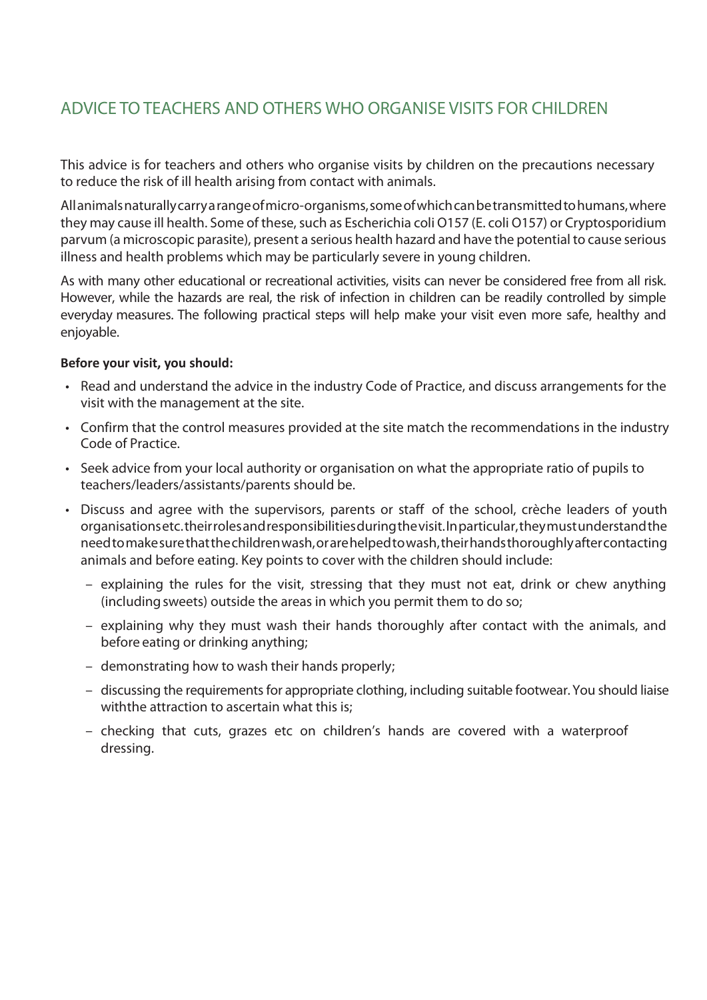## ADVICE TO TEACHERS AND OTHERS WHO ORGANISE VISITS FOR CHILDREN

This advice is for teachers and others who organise visits by children on the precautions necessary to reduce the risk of ill health arising from contact with animals.

All animals naturally carry a range of micro-organisms, some of which can be transmitted to humans, where they may cause ill health. Some of these, such as Escherichia coli O157 (E. coli O157) or Cryptosporidium parvum (a microscopic parasite), present a serious health hazard and have the potential to cause serious illness and health problems which may be particularly severe in young children.

As with many other educational or recreational activities, visits can never be considered free from all risk. However, while the hazards are real, the risk of infection in children can be readily controlled by simple everyday measures. The following practical steps will help make your visit even more safe, healthy and enjoyable.

#### **Before your visit, you should:**

- Read and understand the advice in the industry Code of Practice, and discuss arrangements for the visit with the management at the site.
- Confirm that the control measures provided at the site match the recommendations in the industry Code of Practice.
- Seek advice from your local authority or organisation on what the appropriate ratio of pupils to teachers/leaders/assistants/parents should be.
- Discuss and agree with the supervisors, parents or staff of the school, crèche leaders of youth organisations etc. their roles and responsibilities during the visit. In particular, they must understand the need tomake sure that the children wash, or are helped towash, their hands thoroughly after contacting animals and before eating. Key points to cover with the children should include:
	- explaining the rules for the visit, stressing that they must not eat, drink or chew anything (including sweets) outside the areas in which you permit them to do so;
	- explaining why they must wash their hands thoroughly after contact with the animals, and before eating or drinking anything;
	- demonstrating how to wash their hands properly;
	- discussing the requirements for appropriate clothing, including suitable footwear. You should liaise withthe attraction to ascertain what this is;
	- checking that cuts, grazes etc on children's hands are covered with a waterproof dressing.